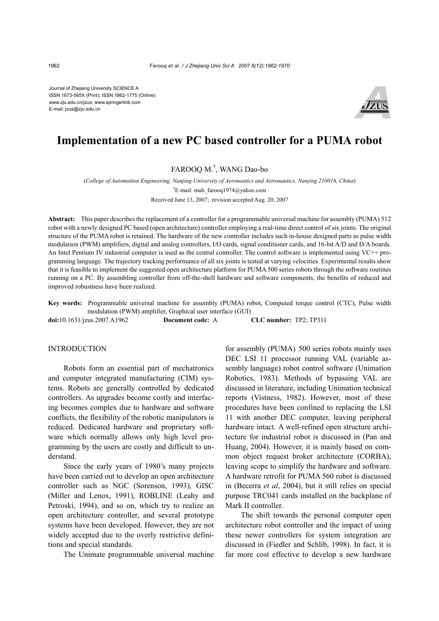Journal of Zhejiang University SCIENCE A ISSN 1673-565X (Print); ISSN 1862-1775 (Online) www.zju.edu.cn/jzus; www.springerlink.com E-mail: jzus@zju.edu.cn



# **Implementation of a new PC based controller for a PUMA robot**

FAROOQ M.† , WANG Dao-bo

(*College of Automation Engineering, Nanjing University of Aeronautics and Astronautics, Nanjing 210016, China*) † E-mail: muh\_farooq1974@yahoo.com Received June 13, 2007; revision accepted Aug. 20, 2007

**Abstract:** This paper describes the replacement of a controller for a programmable universal machine for assembly (PUMA) 512 robot with a newly designed PC based (open architecture) controller employing a real-time direct control of six joints. The original structure of the PUMA robot is retained. The hardware of the new controller includes such in-house designed parts as pulse width modulation (PWM) amplifiers, digital and analog controllers, I/O cards, signal conditioner cards, and 16-bit A/D and D/A boards. An Intel Pentium IV industrial computer is used as the central controller. The control software is implemented using VC++ programming language. The trajectory tracking performance of all six joints is tested at varying velocities. Experimental results show that it is feasible to implement the suggested open architecture platform for PUMA 500 series robots through the software routines running on a PC. By assembling controller from off-the-shell hardware and software components, the benefits of reduced and improved robustness have been realized.

**Key words:** Programmable universal machine for assembly (PUMA) robot, Computed torque control (CTC), Pulse width modulation (PWM) amplifier, Graphical user interface (GUI)

**doi:**10.1631/jzus.2007.A1962 **Document code:** A **CLC number:** TP2; TP311

### **INTRODUCTION**

Robots form an essential part of mechatronics and computer integrated manufacturing (CIM) systems. Robots are generally controlled by dedicated controllers. As upgrades become costly and interfacing becomes complex due to hardware and software conflicts, the flexibility of the robotic manipulators is reduced. Dedicated hardware and proprietary software which normally allows only high level programming by the users are costly and difficult to understand.

Since the early years of 1980's many projects have been carried out to develop an open architecture controller such as NGC (Sorenson, 1993), GISC (Miller and Lenox, 1991), ROBLINE (Leahy and Petroski, 1994), and so on, which try to realize an open architecture controller, and several prototype systems have been developed. However, they are not widely accepted due to the overly restrictive definitions and special standards.

The Unimate programmable universal machine

for assembly (PUMA) 500 series robots mainly uses DEC LSI 11 processor running VAL (variable assembly language) robot control software (Unimation Robotics, 1983). Methods of bypassing VAL are discussed in literature, including Unimation technical reports (Vistness, 1982). However, most of these procedures have been confined to replacing the LSI 11 with another DEC computer, leaving peripheral hardware intact. A well-refined open structure architecture for industrial robot is discussed in (Pan and Huang, 2004). However, it is mainly based on common object request broker architecture (CORBA), leaving scope to simplify the hardware and software. A hardware retrofit for PUMA 560 robot is discussed in (Becerra *et al*, 2004), but it still relies on special purpose TRC041 cards installed on the backplane of Mark II controller.

The shift towards the personal computer open architecture robot controller and the impact of using these newer controllers for system integration are discussed in (Fiedler and Schlib, 1998). In fact, it is far more cost effective to develop a new hardware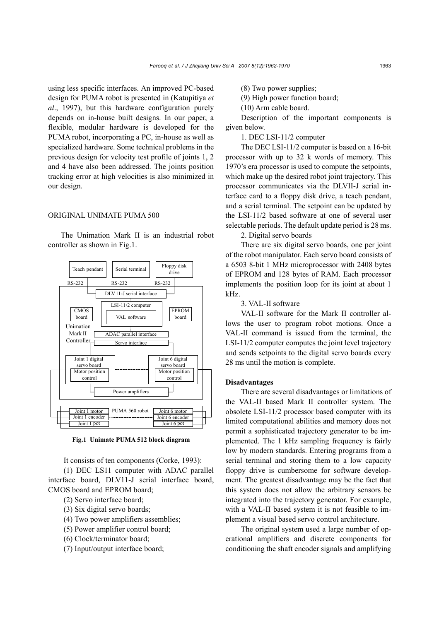using less specific interfaces. An improved PC-based design for PUMA robot is presented in (Katupitiya *et al*., 1997), but this hardware configuration purely depends on in-house built designs. In our paper, a flexible, modular hardware is developed for the PUMA robot, incorporating a PC, in-house as well as specialized hardware. Some technical problems in the previous design for velocity test profile of joints 1, 2 and 4 have also been addressed. The joints position tracking error at high velocities is also minimized in our design.

### ORIGINAL UNIMATE PUMA 500

The Unimation Mark II is an industrial robot controller as shown in Fig.1.



**Fig.1 Unimate PUMA 512 block diagram** 

It consists of ten components (Corke, 1993):

(1) DEC LS11 computer with ADAC parallel interface board, DLV11-J serial interface board, CMOS board and EPROM board;

(2) Servo interface board;

- (3) Six digital servo boards;
- (4) Two power amplifiers assemblies;
- (5) Power amplifier control board;
- (6) Clock/terminator board;
- (7) Input/output interface board;

(8) Two power supplies;

(9) High power function board;

(10) Arm cable board.

Description of the important components is given below.

1. DEC LSI-11/2 computer

The DEC LSI-11/2 computer is based on a 16-bit processor with up to 32 k words of memory. This 1970's era processor is used to compute the setpoints, which make up the desired robot joint trajectory. This processor communicates via the DLVII-J serial interface card to a floppy disk drive, a teach pendant, and a serial terminal. The setpoint can be updated by the LSI-11/2 based software at one of several user selectable periods. The default update period is 28 ms.

2. Digital servo boards

There are six digital servo boards, one per joint of the robot manipulator. Each servo board consists of a 6503 8-bit 1 MHz microprocessor with 2408 bytes of EPROM and 128 bytes of RAM. Each processor implements the position loop for its joint at about 1 kHz.

3. VAL-II software

VAL-II software for the Mark II controller allows the user to program robot motions. Once a VAL-II command is issued from the terminal, the LSI-11/2 computer computes the joint level trajectory and sends setpoints to the digital servo boards every 28 ms until the motion is complete.

#### **Disadvantages**

There are several disadvantages or limitations of the VAL-II based Mark II controller system. The obsolete LSI-11/2 processor based computer with its limited computational abilities and memory does not permit a sophisticated trajectory generator to be implemented. The 1 kHz sampling frequency is fairly low by modern standards. Entering programs from a serial terminal and storing them to a low capacity floppy drive is cumbersome for software development. The greatest disadvantage may be the fact that this system does not allow the arbitrary sensors be integrated into the trajectory generator. For example, with a VAL-II based system it is not feasible to implement a visual based servo control architecture.

The original system used a large number of operational amplifiers and discrete components for conditioning the shaft encoder signals and amplifying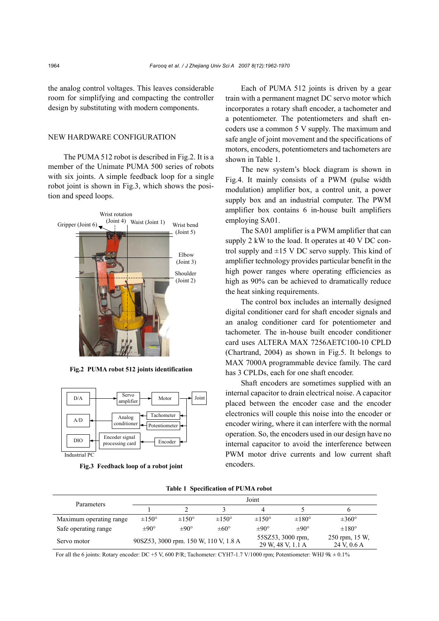the analog control voltages. This leaves considerable room for simplifying and compacting the controller design by substituting with modern components.

### NEW HARDWARE CONFIGURATION

The PUMA 512 robot is described in Fig.2. It is a member of the Unimate PUMA 500 series of robots with six joints. A simple feedback loop for a single robot joint is shown in Fig.3, which shows the position and speed loops.



**Fig.2 PUMA robot 512 joints identification** 



Industrial PC

**Fig.3 Feedback loop of a robot joint** encoders.

Each of PUMA 512 joints is driven by a gear train with a permanent magnet DC servo motor which incorporates a rotary shaft encoder, a tachometer and a potentiometer. The potentiometers and shaft encoders use a common 5 V supply. The maximum and safe angle of joint movement and the specifications of motors, encoders, potentiometers and tachometers are shown in Table 1.

The new system's block diagram is shown in Fig.4. It mainly consists of a PWM (pulse width modulation) amplifier box, a control unit, a power supply box and an industrial computer. The PWM amplifier box contains 6 in-house built amplifiers employing SA01.

The SA01 amplifier is a PWM amplifier that can supply 2 kW to the load. It operates at 40 V DC control supply and  $\pm 15$  V DC servo supply. This kind of amplifier technology provides particular benefit in the high power ranges where operating efficiencies as high as 90% can be achieved to dramatically reduce the heat sinking requirements.

The control box includes an internally designed digital conditioner card for shaft encoder signals and an analog conditioner card for potentiometer and tachometer. The in-house built encoder conditioner card uses ALTERA MAX 7256AETC100-10 CPLD (Chartrand, 2004) as shown in Fig.5. It belongs to MAX 7000A programmable device family. The card has 3 CPLDs, each for one shaft encoder.

Shaft encoders are sometimes supplied with an internal capacitor to drain electrical noise. A capacitor placed between the encoder case and the encoder electronics will couple this noise into the encoder or encoder wiring, where it can interfere with the normal operation. So, the encoders used in our design have no internal capacitor to avoid the interference between PWM motor drive currents and low current shaft

#### **Table 1 Specification of PUMA robot**

| Parameters              | Joint                                 |                 |                  |                                        |                 |                               |  |  |
|-------------------------|---------------------------------------|-----------------|------------------|----------------------------------------|-----------------|-------------------------------|--|--|
|                         |                                       |                 |                  | 4                                      |                 |                               |  |  |
| Maximum operating range | $\pm 150^\circ$                       | $\pm 150^\circ$ | $\pm 150^\circ$  | $\pm 150^\circ$                        | $\pm 180^\circ$ | $\pm 360^\circ$               |  |  |
| Safe operating range    | $\pm 90^\circ$                        | $\pm 90^\circ$  | $\pm 60^{\circ}$ | $\pm 90^\circ$                         | $\pm 90^\circ$  | $\pm 180^\circ$               |  |  |
| Servo motor             | 90SZ53, 3000 rpm. 150 W, 110 V, 1.8 A |                 |                  | 55SZ53, 3000 rpm,<br>29 W, 48 V, 1.1 A |                 | 250 rpm, 15 W,<br>24 V, 0.6 A |  |  |

For all the 6 joints: Rotary encoder: DC +5 V, 600 P/R; Tachometer: CYH7-1.7 V/1000 rpm; Potentiometer: WHJ  $9k \pm 0.1\%$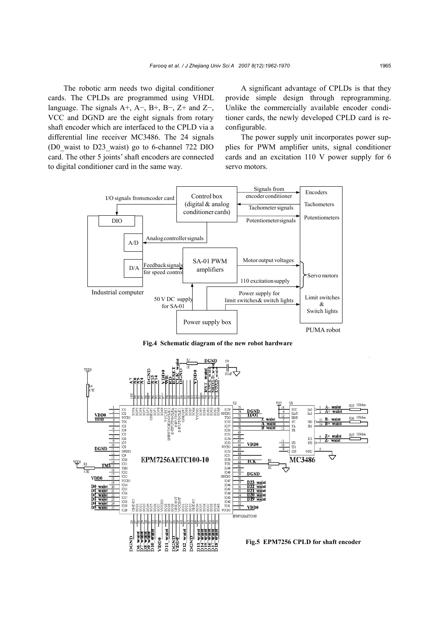The robotic arm needs two digital conditioner cards. The CPLDs are programmed using VHDL language. The signals  $A^+$ ,  $A^-$ ,  $B^+$ ,  $B^-$ ,  $Z^+$  and  $Z^-$ , VCC and DGND are the eight signals from rotary shaft encoder which are interfaced to the CPLD via a differential line receiver MC3486. The 24 signals (D0\_waist to D23\_waist) go to 6-channel 722 DIO card. The other 5 joints' shaft encoders are connected to digital conditioner card in the same way.

A significant advantage of CPLDs is that they provide simple design through reprogramming. Unlike the commercially available encoder conditioner cards, the newly developed CPLD card is reconfigurable.

The power supply unit incorporates power supplies for PWM amplifier units, signal conditioner cards and an excitation 110 V power supply for 6 servo motors.



**Fig.4 Schematic diagram of the new robot hardware** 

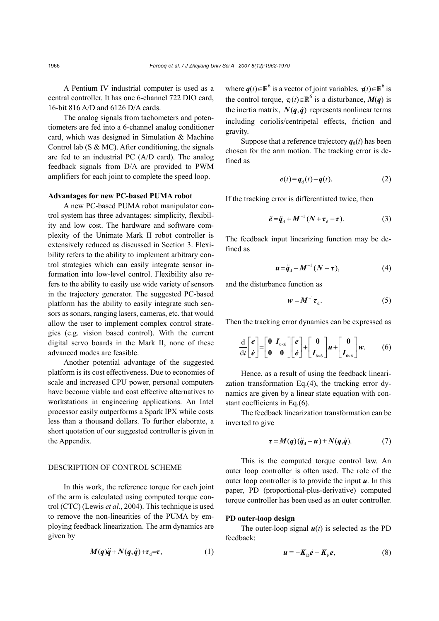A Pentium IV industrial computer is used as a central controller. It has one 6-channel 722 DIO card, 16-bit 816 A/D and 6126 D/A cards.

The analog signals from tachometers and potentiometers are fed into a 6-channel analog conditioner card, which was designed in Simulation & Machine Control lab (S & MC). After conditioning, the signals are fed to an industrial PC (A/D card). The analog feedback signals from D/A are provided to PWM amplifiers for each joint to complete the speed loop.

### **Advantages for new PC-based PUMA robot**

A new PC-based PUMA robot manipulator control system has three advantages: simplicity, flexibility and low cost. The hardware and software complexity of the Unimate Mark II robot controller is extensively reduced as discussed in Section 3. Flexibility refers to the ability to implement arbitrary control strategies which can easily integrate sensor information into low-level control. Flexibility also refers to the ability to easily use wide variety of sensors in the trajectory generator. The suggested PC-based platform has the ability to easily integrate such sensors as sonars, ranging lasers, cameras, etc. that would allow the user to implement complex control strategies (e.g. vision based control). With the current digital servo boards in the Mark II, none of these advanced modes are feasible.

Another potential advantage of the suggested platform is its cost effectiveness. Due to economies of scale and increased CPU power, personal computers have become viable and cost effective alternatives to workstations in engineering applications. An Intel processor easily outperforms a Spark IPX while costs less than a thousand dollars. To further elaborate, a short quotation of our suggested controller is given in the Appendix.

### DESCRIPTION OF CONTROL SCHEME

In this work, the reference torque for each joint of the arm is calculated using computed torque control (CTC) (Lewis *et al.*, 2004). This technique is used to remove the non-linearities of the PUMA by employing feedback linearization. The arm dynamics are given by

$$
M(q)\ddot{q} + N(q,\dot{q}) + \tau_d = \tau, \qquad (1)
$$

where  $q(t) \in \mathbb{R}^6$  is a vector of joint variables,  $\tau(t) \in \mathbb{R}^6$  is the control torque,  $\tau_d(t) \in \mathbb{R}^6$  is a disturbance,  $M(q)$  is the inertia matrix,  $N(q, \dot{q})$  represents nonlinear terms including coriolis/centripetal effects, friction and gravity.

Suppose that a reference trajectory  $q_d(t)$  has been chosen for the arm motion. The tracking error is defined as

$$
e(t) = q_{d}(t) - q(t). \tag{2}
$$

If the tracking error is differentiated twice, then

$$
\ddot{e} = \ddot{q}_d + M^{-1} (N + \tau_d - \tau). \tag{3}
$$

The feedback input linearizing function may be defined as

$$
\boldsymbol{u} = \ddot{\boldsymbol{q}}_{d} + \boldsymbol{M}^{-1} \left( \boldsymbol{N} - \boldsymbol{\tau} \right), \tag{4}
$$

and the disturbance function as

$$
w = M^{-1} \tau_{d}.
$$
 (5)

Then the tracking error dynamics can be expressed as

$$
\frac{\mathrm{d}}{\mathrm{d}t}\begin{bmatrix} e \\ \dot{e} \end{bmatrix} = \begin{bmatrix} 0 & I_{6\times6} \\ 0 & 0 \end{bmatrix} \begin{bmatrix} e \\ \dot{e} \end{bmatrix} + \begin{bmatrix} 0 \\ I_{6\times6} \end{bmatrix} u + \begin{bmatrix} 0 \\ I_{6\times6} \end{bmatrix} w.
$$
 (6)

Hence, as a result of using the feedback linearization transformation Eq.(4), the tracking error dynamics are given by a linear state equation with constant coefficients in Eq.(6).

The feedback linearization transformation can be inverted to give

$$
\tau = M(q)(\ddot{q}_d - u) + N(q, \dot{q}). \tag{7}
$$

This is the computed torque control law. An outer loop controller is often used. The role of the outer loop controller is to provide the input *u*. In this paper, PD (proportional-plus-derivative) computed torque controller has been used as an outer controller.

#### **PD outer-loop design**

The outer-loop signal  $u(t)$  is selected as the PD feedback:

$$
\boldsymbol{u} = -\boldsymbol{K}_{\mathrm{D}}\dot{\boldsymbol{e}} - \boldsymbol{K}_{\mathrm{P}}\boldsymbol{e},\tag{8}
$$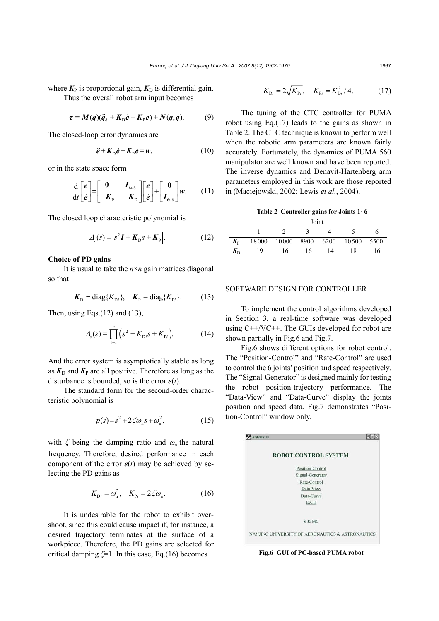where  $K_P$  is proportional gain,  $K_D$  is differential gain.

Thus the overall robot arm input becomes

$$
\tau = M(q)(\ddot{q}_d + K_p \dot{e} + K_p e) + N(q, \dot{q}). \tag{9}
$$

The closed-loop error dynamics are

$$
\ddot{e} + K_{\rm p}\dot{e} + K_{\rm p}e = w, \qquad (10)
$$

or in the state space form

$$
\frac{\mathrm{d}}{\mathrm{d}t} \begin{bmatrix} e \\ \dot{e} \end{bmatrix} = \begin{bmatrix} 0 & I_{6\times 6} \\ -K_{\mathrm{p}} & -K_{\mathrm{D}} \end{bmatrix} \begin{bmatrix} e \\ \dot{e} \end{bmatrix} + \begin{bmatrix} 0 \\ I_{6\times 6} \end{bmatrix} w.
$$
 (11)

The closed loop characteristic polynomial is

$$
\mathcal{A}_{\rm c}(s) = \left| s^2 \boldsymbol{I} + \boldsymbol{K}_{\rm D} s + \boldsymbol{K}_{\rm P} \right|.
$$
 (12)

# **Choice of PD gains**

It is usual to take the  $n \times n$  gain matrices diagonal so that

$$
\boldsymbol{K}_{\mathrm{D}} = \mathrm{diag}\{K_{\mathrm{D}i}\}, \quad \boldsymbol{K}_{\mathrm{P}} = \mathrm{diag}\{K_{\mathrm{P}i}\}.\tag{13}
$$

Then, using Eqs. $(12)$  and  $(13)$ ,

$$
\mathcal{A}_{\rm c}(s) = \prod_{i=1}^{n} \left( s^2 + K_{\rm p_i} s + K_{\rm p_i} \right). \tag{14}
$$

And the error system is asymptotically stable as long as  $K<sub>D</sub>$  and  $K<sub>P</sub>$  are all positive. Therefore as long as the disturbance is bounded, so is the error *e*(*t*).

The standard form for the second-order characteristic polynomial is

$$
p(s) = s^2 + 2\zeta\omega_n s + \omega_n^2, \qquad (15)
$$

with  $\zeta$  being the damping ratio and  $\omega_n$  the natural frequency. Therefore, desired performance in each component of the error  $e(t)$  may be achieved by selecting the PD gains as

$$
K_{\mathbf{D}i} = \omega_{\mathbf{n}}^2, \quad K_{\mathbf{P}i} = 2\zeta\omega_{\mathbf{n}}.\tag{16}
$$

It is undesirable for the robot to exhibit overshoot, since this could cause impact if, for instance, a desired trajectory terminates at the surface of a workpiece. Therefore, the PD gains are selected for critical damping *ζ*=1. In this case, Eq.(16) becomes

$$
K_{Di} = 2\sqrt{K_{Pi}}, \quad K_{Pi} = K_{Di}^2 / 4.
$$
 (17)

The tuning of the CTC controller for PUMA robot using Eq.(17) leads to the gains as shown in Table 2. The CTC technique is known to perform well when the robotic arm parameters are known fairly accurately. Fortunately, the dynamics of PUMA 560 manipulator are well known and have been reported. The inverse dynamics and Denavit-Hartenberg arm parameters employed in this work are those reported in (Maciejowski, 2002; Lewis *et al.*, 2004).

**Table 2 Controller gains for Joints 1~6**

|             | Joint |       |      |      |       |      |  |  |
|-------------|-------|-------|------|------|-------|------|--|--|
|             |       |       |      |      |       |      |  |  |
| $K_{\rm p}$ | 18000 | 10000 | 8900 | 6200 | 10500 | 5500 |  |  |
| $K_{D}$     | 19    | 16    | 16   | 14   | 18    | 16   |  |  |

### SOFTWARE DESIGN FOR CONTROLLER

To implement the control algorithms developed in Section 3, a real-time software was developed using C++/VC++. The GUIs developed for robot are shown partially in Fig.6 and Fig.7.

Fig.6 shows different options for robot control. The "Position-Control" and "Rate-Control" are used to control the 6 joints' position and speed respectively. The "Signal-Generator" is designed mainly for testing the robot position-trajectory performance. The "Data-View" and "Data-Curve" display the joints position and speed data. Fig.7 demonstrates "Position-Control" window only.



**Fig.6 GUI of PC-based PUMA robot**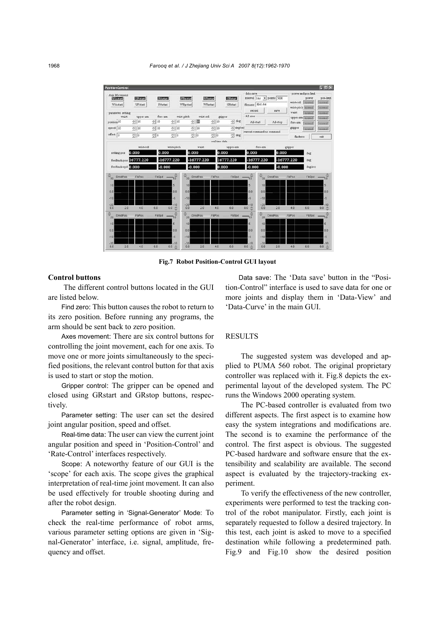| PositionControl                            |                                  |                          |                     |                                       |                             |                                   |                                               |                             |              |                                       | $\Box$ D $\boxtimes$ |
|--------------------------------------------|----------------------------------|--------------------------|---------------------|---------------------------------------|-----------------------------|-----------------------------------|-----------------------------------------------|-----------------------------|--------------|---------------------------------------|----------------------|
| Axis Movement<br><b>WAstart</b><br>WAstart | <b>UPstart</b><br><b>UPstart</b> | <b>FAstan</b><br>FAstart |                     | <b>WRpstart</b><br><b>WRpstart</b>    | <b>WRrstart</b><br>WRrstart | <b>GRstart</b><br><b>GR</b> etart | data-save<br>filename file1.dat               | interval lins v points 5000 | wrist-roll   | power and pos-limit<br>power<br>momal | pos-limit<br>nomal   |
| parameter setting                          |                                  | fore-ann                 |                     |                                       |                             |                                   | record<br>All axes                            | save                        | <b>Waist</b> | wrist-pitch runmal<br>normal          | mormal<br>normal     |
| waist.<br>position 10                      | upper-am<br>$+10$                | $-10$                    | $+ 10$              | wrist-pitch.<br>킑<br>圈                | wrist-roll<br>$-10$         | gripper<br>$\pm$ deg              | All-start                                     | All-stop                    | fore-arm     | upper-arm mormal<br>numal             | normal<br>nomal      |
| speed 10                                   | 국 10                             | $-10$                    | 소 10                | $-10$                                 | $\frac{3}{4}$ 10            | $\frac{1}{\sqrt{2}}$ deg/sec      |                                               |                             | gmpper       | norms                                 | nomal                |
| offset 0                                   | $\frac{1}{2}$ 0                  | $\frac{1}{2}$ 0          | $\pm$ 0             | $\div$ 0                              | 회이                          | ÷<br>deg                          | current command no command                    |                             | findzero     |                                       | exit                 |
|                                            |                                  |                          |                     |                                       |                             | real time data                    |                                               |                             |              |                                       |                      |
|                                            | wrist-roll                       |                          | wrist-pitch         |                                       | waist                       | upper-arm                         | fore-arm                                      |                             | gripper      |                                       |                      |
| setting-pos                                | 0.000                            | 0.000                    |                     | 0.000                                 |                             | 0.000                             | 0.000                                         | 0.000                       |              | $d$ +g                                |                      |
|                                            | feedback-pos 16777,220           |                          | -16777.220          | -16777.220                            |                             | 16777.220                         | -16777.220                                    |                             | -16777.220   | deg                                   |                      |
| feedback-spd 0.000                         |                                  | $-0.000$                 |                     | $-0.000$                              |                             | 0.000                             | $-0.000$                                      | $-0.000$                    |              | deg/sec                               |                      |
|                                            |                                  |                          |                     |                                       |                             |                                   |                                               |                             |              |                                       |                      |
| <b>DmdPos</b>                              | FbPos                            | FbSpd                    | ā                   | ÷<br><b>DmdPos</b><br>$\overline{20}$ | FbPos                       | FbSpd                             | 疆<br>÷                                        | DmdPos<br>20                | FbPos        | FbSpd                                 | ١ű                   |
| 10                                         |                                  |                          | 5                   | 10                                    |                             |                                   | 5                                             | 10                          |              |                                       | $\overline{5}$       |
| 0.0                                        |                                  |                          | 0.0                 | 0.0                                   |                             |                                   | 0.0                                           | 0 <sub>0</sub>              |              |                                       | 0.0                  |
| $-10$                                      |                                  |                          | is.                 | $-10$                                 |                             |                                   | $-5$                                          | $-10$                       |              |                                       | 15                   |
| $-20$                                      |                                  |                          | $-10$               | $-20$                                 |                             |                                   | $-10$                                         | $-20$                       |              |                                       | $-10$                |
| 20<br>0.0                                  | 4.0                              | 6.0                      | 0.0<br>٥            | 0.0                                   | 2.0<br>4.0                  | 6.0                               | 0.0<br>÷                                      | 2.0<br>0.0                  | 4.0          | 6.0                                   | 8.0.<br>×            |
| ×<br>$\frac{1}{20}$<br><b>DmdPos</b>       | FbPos                            | FbSpd                    | A<br>١ó             | ÷<br>DmdPos<br>20                     | FbPos                       | FbSpd                             | ж<br>×<br>$\overline{\phantom{a}}_{20}$<br>٦ú | <b>DmdPos</b>               | FbPos        | FbSpd                                 | ×<br>10              |
| 10                                         |                                  |                          | š                   | 10                                    |                             |                                   | 5                                             | 10                          |              |                                       | 5                    |
| 0.0                                        |                                  |                          | 0.0                 | 0.01                                  |                             |                                   | 0.0                                           | 0.0                         |              |                                       | 0.0                  |
| $-10$                                      |                                  |                          | i6                  | $-10$                                 |                             |                                   | .s                                            | $-10$                       |              |                                       | -5                   |
| $-20$                                      |                                  |                          | $-10$               | $-20$                                 |                             |                                   | $-10$                                         | $-20$                       |              |                                       |                      |
| 0.0<br>2.0                                 | 4.0                              | 6.0                      | 8.0<br><b>Silki</b> | 0.0                                   | 2.0<br>4.0                  | 6.0                               | 8.0<br>idi.                                   | 2.0<br>0.0                  | 4.0          | 6.0                                   | $-10$<br>8.0<br>who  |

**Fig.7 Robot Position-Control GUI layout** 

# **Control buttons**

The different control buttons located in the GUI are listed below.

Find zero: This button causes the robot to return to its zero position. Before running any programs, the arm should be sent back to zero position.

Axes movement: There are six control buttons for controlling the joint movement, each for one axis. To move one or more joints simultaneously to the specified positions, the relevant control button for that axis is used to start or stop the motion.

Gripper control: The gripper can be opened and closed using GRstart and GRstop buttons, respectively.

Parameter setting: The user can set the desired joint angular position, speed and offset.

Real-time data: The user can view the current joint angular position and speed in 'Position-Control' and 'Rate-Control' interfaces respectively.

Scope: A noteworthy feature of our GUI is the 'scope' for each axis. The scope gives the graphical interpretation of real-time joint movement. It can also be used effectively for trouble shooting during and after the robot design.

Parameter setting in 'Signal-Generator' Mode: To check the real-time performance of robot arms, various parameter setting options are given in 'Signal-Generator' interface, i.e. signal, amplitude, frequency and offset.

Data save: The 'Data save' button in the "Position-Control" interface is used to save data for one or more joints and display them in 'Data-View' and 'Data-Curve' in the main GUI.

## **RESULTS**

The suggested system was developed and applied to PUMA 560 robot. The original proprietary controller was replaced with it. Fig.8 depicts the experimental layout of the developed system. The PC runs the Windows 2000 operating system.

The PC-based controller is evaluated from two different aspects. The first aspect is to examine how easy the system integrations and modifications are. The second is to examine the performance of the control. The first aspect is obvious. The suggested PC-based hardware and software ensure that the extensibility and scalability are available. The second aspect is evaluated by the trajectory-tracking experiment.

To verify the effectiveness of the new controller, experiments were performed to test the tracking control of the robot manipulator. Firstly, each joint is separately requested to follow a desired trajectory. In this test, each joint is asked to move to a specified destination while following a predetermined path. Fig.9 and Fig.10 show the desired position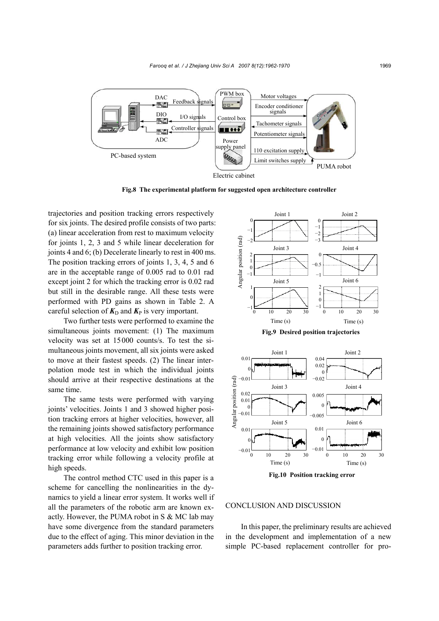

**Fig.8 The experimental platform for suggested open architecture controller** 

trajectories and position tracking errors respectively for six joints. The desired profile consists of two parts: (a) linear acceleration from rest to maximum velocity for joints 1, 2, 3 and 5 while linear deceleration for joints 4 and 6; (b) Decelerate linearly to rest in 400 ms. The position tracking errors of joints 1, 3, 4, 5 and 6 are in the acceptable range of 0.005 rad to 0.01 rad except joint 2 for which the tracking error is 0.02 rad but still in the desirable range. All these tests were performed with PD gains as shown in Table 2. A careful selection of  $K_D$  and  $K_P$  is very important.

Two further tests were performed to examine the simultaneous joints movement: (1) The maximum velocity was set at 15000 counts/s. To test the simultaneous joints movement, all six joints were asked to move at their fastest speeds. (2) The linear interpolation mode test in which the individual joints should arrive at their respective destinations at the same time.

The same tests were performed with varying joints' velocities. Joints 1 and 3 showed higher position tracking errors at higher velocities, however, all the remaining joints showed satisfactory performance at high velocities. All the joints show satisfactory performance at low velocity and exhibit low position tracking error while following a velocity profile at high speeds.

The control method CTC used in this paper is a scheme for cancelling the nonlinearities in the dynamics to yield a linear error system. It works well if all the parameters of the robotic arm are known exactly. However, the PUMA robot in S & MC lab may have some divergence from the standard parameters due to the effect of aging. This minor deviation in the parameters adds further to position tracking error.



**Fig.9 Desired position trajectories**



**Fig.10 Position tracking error**

### CONCLUSION AND DISCUSSION

In this paper, the preliminary results are achieved in the development and implementation of a new simple PC-based replacement controller for pro